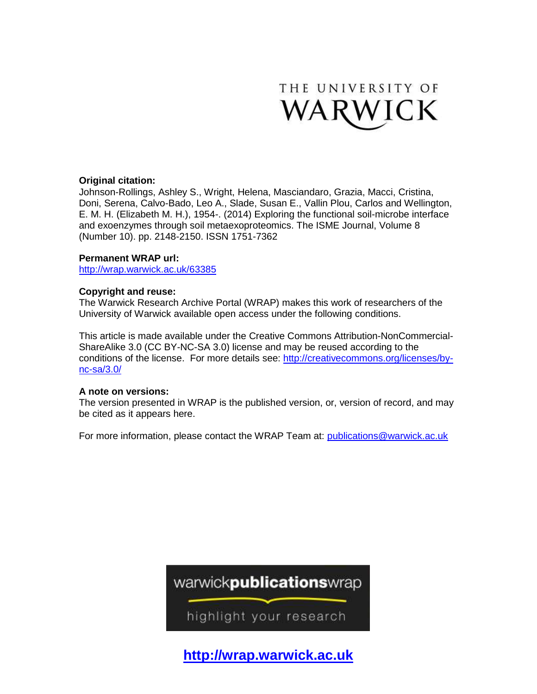

### **Original citation:**

Johnson-Rollings, Ashley S., Wright, Helena, Masciandaro, Grazia, Macci, Cristina, Doni, Serena, Calvo-Bado, Leo A., Slade, Susan E., Vallin Plou, Carlos and Wellington, E. M. H. (Elizabeth M. H.), 1954-. (2014) Exploring the functional soil-microbe interface and exoenzymes through soil metaexoproteomics. The ISME Journal, Volume 8 (Number 10). pp. 2148-2150. ISSN 1751-7362

### **Permanent WRAP url:**

<http://wrap.warwick.ac.uk/63385>

### **Copyright and reuse:**

The Warwick Research Archive Portal (WRAP) makes this work of researchers of the University of Warwick available open access under the following conditions.

This article is made available under the Creative Commons Attribution-NonCommercial-ShareAlike 3.0 (CC BY-NC-SA 3.0) license and may be reused according to the conditions of the license. For more details see: [http://creativecommons.org/licenses/by](http://creativecommons.org/licenses/by-nc-sa/3.0/)[nc-sa/3.0/](http://creativecommons.org/licenses/by-nc-sa/3.0/)

#### **A note on versions:**

The version presented in WRAP is the published version, or, version of record, and may be cited as it appears here.

For more information, please contact the WRAP Team at: [publications@warwick.ac.uk](mailto:publications@warwick.ac.uk)



highlight your research

**[http://wrap.warwick.ac.uk](http://wrap.warwick.ac.uk/)**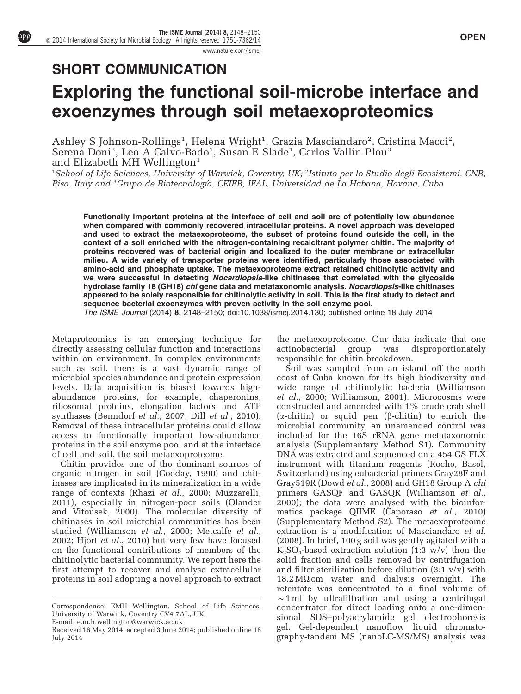[www.nature.com/ismej](http://www.nature.com/ismej)

# SHORT COMMUNICATION

# Exploring the functional soil-microbe interface and exoenzymes through soil metaexoproteomics

Ashley S Johnson-Rollings<sup>1</sup>, Helena Wright<sup>1</sup>, Grazia Masciandaro<sup>2</sup>, Cristina Macci<sup>2</sup>, Serena Doni<sup>2</sup>, Leo A Calvo-Bado<sup>1</sup>, Susan E Slade<sup>1</sup>, Carlos Vallin Plou<sup>3</sup> and Elizabeth MH Wellington<sup>1</sup>

<sup>1</sup>School of Life Sciences, University of Warwick, Coventry, UK; <sup>2</sup>Istituto per lo Studio degli Ecosistemi, CNR, Pisa, Italy and <sup>3</sup>Grupo de Biotecnología, CEIEB, IFAL, Universidad de La Habana, Havana, Cuba

Functionally important proteins at the interface of cell and soil are of potentially low abundance when compared with commonly recovered intracellular proteins. A novel approach was developed and used to extract the metaexoproteome, the subset of proteins found outside the cell, in the context of a soil enriched with the nitrogen-containing recalcitrant polymer chitin. The majority of proteins recovered was of bacterial origin and localized to the outer membrane or extracellular milieu. A wide variety of transporter proteins were identified, particularly those associated with amino-acid and phosphate uptake. The metaexoproteome extract retained chitinolytic activity and we were successful in detecting Nocardiopsis-like chitinases that correlated with the glycoside hydrolase family 18 (GH18) *chi* gene data and metataxonomic analysis. Nocardiopsis-like chitinases appeared to be solely responsible for chitinolytic activity in soil. This is the first study to detect and sequence bacterial exoenzymes with proven activity in the soil enzyme pool. The ISME Journal (2014) 8, 2148–2150; doi:[10.1038/ismej.2014.130;](http://dx.doi.org/10.1038/ismej.2014.130) published online 18 July 2014

Metaproteomics is an emerging technique for directly assessing cellular function and interactions within an environment. In complex environments such as soil, there is a vast dynamic range of microbial species abundance and protein expression levels. Data acquisition is biased towards highabundance proteins, for example, chaperonins, ribosomal proteins, elongation factors and ATP synthases [\(Benndorf](#page-3-0) et al., 2007; Dill et al.[, 2010](#page-3-0)). Removal of these intracellular proteins could allow access to functionally important low-abundance proteins in the soil enzyme pool and at the interface of cell and soil, the soil metaexoproteome.

Chitin provides one of the dominant sources of organic nitrogen in soil [\(Gooday, 1990](#page-3-0)) and chitinases are implicated in its mineralization in a wide range of contexts (Rhazi et al.[, 2000](#page-3-0); [Muzzarelli,](#page-3-0) [2011\)](#page-3-0), especially in nitrogen-poor soils [\(Olander](#page-3-0) [and Vitousek, 2000](#page-3-0)). The molecular diversity of chitinases in soil microbial communities has been studied ([Williamson](#page-3-0) et al., 2000; [Metcalfe](#page-3-0) et al., [2002;](#page-3-0) Hjort et al.[, 2010](#page-3-0)) but very few have focused on the functional contributions of members of the chitinolytic bacterial community. We report here the first attempt to recover and analyse extracellular proteins in soil adopting a novel approach to extract

the metaexoproteome. Our data indicate that one actinobacterial group was disproportionately responsible for chitin breakdown.

Soil was sampled from an island off the north coast of Cuba known for its high biodiversity and wide range of chitinolytic bacteria ([Williamson](#page-3-0) et al.[, 2000](#page-3-0); [Williamson, 2001\)](#page-3-0). Microcosms were constructed and amended with 1% crude crab shell  $(\alpha$ -chitin) or squid pen ( $\beta$ -chitin) to enrich the microbial community, an unamended control was included for the 16S rRNA gene metataxonomic analysis (Supplementary Method S1). Community DNA was extracted and sequenced on a 454 GS FLX instrument with titanium reagents (Roche, Basel, Switzerland) using eubacterial primers Gray28F and Gray519R (Dowd et al.[, 2008\)](#page-3-0) and GH18 Group A chi primers GASQF and GASQR ([Williamson](#page-3-0) et al., [2000\)](#page-3-0); the data were analysed with the bioinformatics package QIIME ([Caporaso](#page-3-0) et al., 2010) (Supplementary Method S2). The metaexoproteome extraction is a modification of [Masciandaro](#page-3-0) et al. [\(2008\)](#page-3-0). In brief, 100 g soil was gently agitated with a  $K_2SO_4$ -based extraction solution (1:3 w/v) then the solid fraction and cells removed by centrifugation and filter sterilization before dilution  $(3:1 \text{ v/v})$  with  $18.2 \text{ M}\Omega \text{ cm}$  water and dialysis overnight. The retentate was concentrated to a final volume of  $\sim$ 1 ml by ultrafiltration and using a centrifugal concentrator for direct loading onto a one-dimensional SDS–polyacrylamide gel electrophoresis gel. Gel-dependent nanoflow liquid chromatography-tandem MS (nanoLC-MS/MS) analysis was

Correspondence: EMH Wellington, School of Life Sciences, University of Warwick, Coventry CV4 7AL, UK. E-mail: [e.m.h.wellington@warwick.ac.uk](mailto:e.m.h.wellington@warwick.ac.uk)

Received 16 May 2014; accepted 3 June 2014; published online 18 July 2014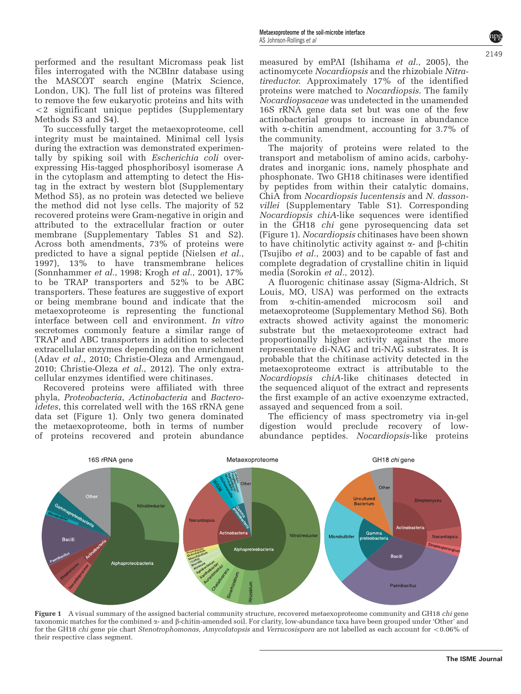performed and the resultant Micromass peak list files interrogated with the NCBInr database using the MASCOT search engine (Matrix Science, London, UK). The full list of proteins was filtered to remove the few eukaryotic proteins and hits with  $\langle 2 \rangle$  significant unique peptides (Supplementary Methods S3 and S4).

To successfully target the metaexoproteome, cell integrity must be maintained. Minimal cell lysis during the extraction was demonstrated experimentally by spiking soil with *Escherichia coli* overexpressing His-tagged phosphoribosyl isomerase A in the cytoplasm and attempting to detect the Histag in the extract by western blot (Supplementary Method S5), as no protein was detected we believe the method did not lyse cells. The majority of 52 recovered proteins were Gram-negative in origin and attributed to the extracellular fraction or outer membrane (Supplementary Tables S1 and S2). Across both amendments, 73% of proteins were predicted to have a signal peptide [\(Nielsen](#page-3-0) et al., [1997\)](#page-3-0), 13% to have transmembrane helices [\(Sonnhammer](#page-3-0) et al., 1998; Krogh et al.[, 2001](#page-3-0)), 17% to be TRAP transporters and 52% to be ABC transporters. These features are suggestive of export or being membrane bound and indicate that the metaexoproteome is representing the functional interface between cell and environment. In vitro secretomes commonly feature a similar range of TRAP and ABC transporters in addition to selected extracellular enzymes depending on the enrichment (Adav et al.[, 2010](#page-3-0); [Christie-Oleza and Armengaud,](#page-3-0) [2010; Christie-Oleza](#page-3-0) et al., 2012). The only extracellular enzymes identified were chitinases.

Recovered proteins were affiliated with three phyla, Proteobacteria, Actinobacteria and Bacteroidetes, this correlated well with the 16S rRNA gene data set (Figure 1). Only two genera dominated the metaexoproteome, both in terms of number of proteins recovered and protein abundance measured by emPAI [\(Ishihama](#page-3-0) et al., 2005), the actinomycete Nocardiopsis and the rhizobiale Nitratireductor. Approximately 17% of the identified proteins were matched to Nocardiopsis. The family Nocardiopsaceae was undetected in the unamended 16S rRNA gene data set but was one of the few actinobacterial groups to increase in abundance with  $\alpha$ -chitin amendment, accounting for 3.7% of the community.

The majority of proteins were related to the transport and metabolism of amino acids, carbohydrates and inorganic ions, namely phosphate and phosphonate. Two GH18 chitinases were identified by peptides from within their catalytic domains, ChiA from Nocardiopsis lucentensis and N. dassonvillei (Supplementary Table S1). Corresponding Nocardiopsis chiA-like sequences were identified in the GH18 chi gene pyrosequencing data set (Figure 1). Nocardiopsis chitinases have been shown to have chitinolytic activity against  $\alpha$ - and  $\beta$ -chitin [\(Tsujibo](#page-3-0) et al., 2003) and to be capable of fast and complete degradation of crystalline chitin in liquid media ([Sorokin](#page-3-0) et al., 2012).

A fluorogenic chitinase assay (Sigma-Aldrich, St Louis, MO, USA) was performed on the extracts from a-chitin-amended microcosm soil and metaexoproteome (Supplementary Method S6). Both extracts showed activity against the monomeric substrate but the metaexoproteome extract had proportionally higher activity against the more representative di-NAG and tri-NAG substrates. It is probable that the chitinase activity detected in the metaexoproteome extract is attributable to the Nocardiopsis chiA-like chitinases detected in the sequenced aliquot of the extract and represents the first example of an active exoenzyme extracted, assayed and sequenced from a soil.

The efficiency of mass spectrometry via in-gel digestion would preclude recovery of lowabundance peptides. Nocardiopsis-like proteins



Figure 1 A visual summary of the assigned bacterial community structure, recovered metaexoproteome community and GH18 chi gene taxonomic matches for the combined a- and b-chitin-amended soil. For clarity, low-abundance taxa have been grouped under 'Other' and for the GH18 chi gene pie chart Stenotrophomonas, Amycolatopsis and Verrucosispora are not labelled as each account for <0.06% of their respective class segment.